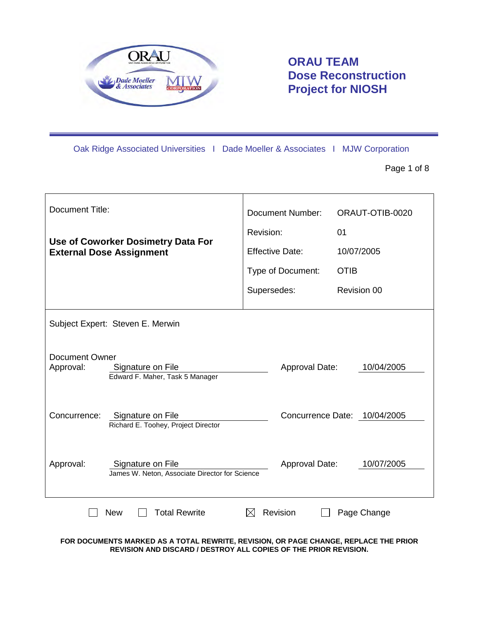

**ORAU TEAM Dose Reconstruction Project for NIOSH**

Oak Ridge Associated Universities I Dade Moeller & Associates I MJW Corporation

Page 1 of 8

| <b>Document Title:</b>          |                                                                     | <b>Document Number:</b> |                              | ORAUT-OTIB-0020 |             |  |
|---------------------------------|---------------------------------------------------------------------|-------------------------|------------------------------|-----------------|-------------|--|
|                                 |                                                                     | Revision:               |                              | 01              |             |  |
| <b>External Dose Assignment</b> | Use of Coworker Dosimetry Data For                                  |                         | <b>Effective Date:</b>       | 10/07/2005      |             |  |
|                                 |                                                                     |                         | Type of Document:            | <b>OTIB</b>     |             |  |
|                                 |                                                                     | Supersedes:             |                              |                 | Revision 00 |  |
|                                 | Subject Expert: Steven E. Merwin                                    |                         |                              |                 |             |  |
| Document Owner<br>Approval:     | Signature on File<br>Edward F. Maher, Task 5 Manager                |                         | Approval Date:               |                 | 10/04/2005  |  |
| Concurrence:                    | Signature on File<br>Richard E. Toohey, Project Director            |                         | Concurrence Date: 10/04/2005 |                 |             |  |
| Approval:                       | Signature on File<br>James W. Neton, Associate Director for Science |                         | <b>Approval Date:</b>        |                 | 10/07/2005  |  |
|                                 | <b>Total Rewrite</b><br><b>New</b>                                  | ⋉                       | Revision                     |                 | Page Change |  |

**FOR DOCUMENTS MARKED AS A TOTAL REWRITE, REVISION, OR PAGE CHANGE, REPLACE THE PRIOR REVISION AND DISCARD / DESTROY ALL COPIES OF THE PRIOR REVISION.**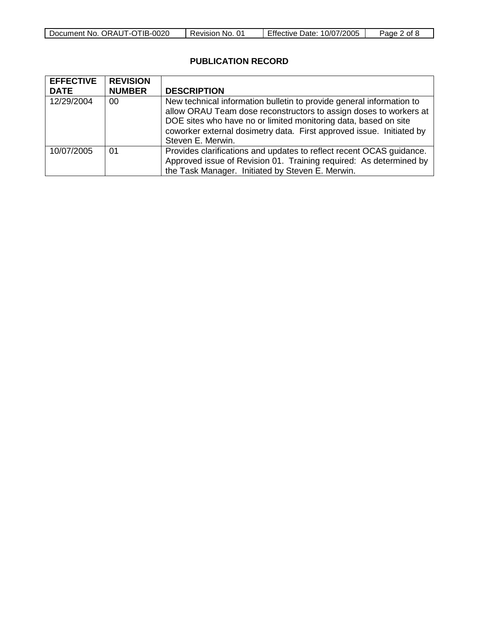| Document No. ORAUT-OTIB-0020 | Revision No. 01 | Effective Date: 10/07/2005 | Page 2 of |
|------------------------------|-----------------|----------------------------|-----------|

## **PUBLICATION RECORD**

| <b>EFFECTIVE</b> | <b>REVISION</b> |                                                                      |
|------------------|-----------------|----------------------------------------------------------------------|
| <b>DATE</b>      | <b>NUMBER</b>   | <b>DESCRIPTION</b>                                                   |
| 12/29/2004       | 00              | New technical information bulletin to provide general information to |
|                  |                 | allow ORAU Team dose reconstructors to assign doses to workers at    |
|                  |                 | DOE sites who have no or limited monitoring data, based on site      |
|                  |                 | coworker external dosimetry data. First approved issue. Initiated by |
|                  |                 | Steven E. Merwin.                                                    |
| 10/07/2005       | 01              | Provides clarifications and updates to reflect recent OCAS guidance. |
|                  |                 | Approved issue of Revision 01. Training required: As determined by   |
|                  |                 | the Task Manager. Initiated by Steven E. Merwin.                     |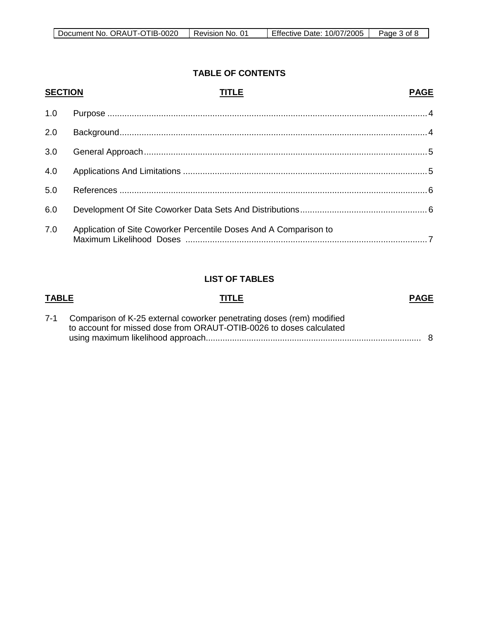### **TABLE OF CONTENTS**

| <b>SECTION</b> | <b>TITLE</b>                                                      | <b>PAGE</b> |
|----------------|-------------------------------------------------------------------|-------------|
| 1.0            |                                                                   |             |
| 2.0            |                                                                   |             |
| 3.0            |                                                                   |             |
| 4.0            |                                                                   |             |
| 5.0            |                                                                   |             |
| 6.0            |                                                                   |             |
| 7.0            | Application of Site Coworker Percentile Doses And A Comparison to |             |

# **LIST OF TABLES**

| TABLE | <b>PAGE</b><br><b>TITLE</b>                                                                                                                      |  |
|-------|--------------------------------------------------------------------------------------------------------------------------------------------------|--|
|       | 7-1 Comparison of K-25 external coworker penetrating doses (rem) modified<br>to account for missed dose from ORAUT-OTIB-0026 to doses calculated |  |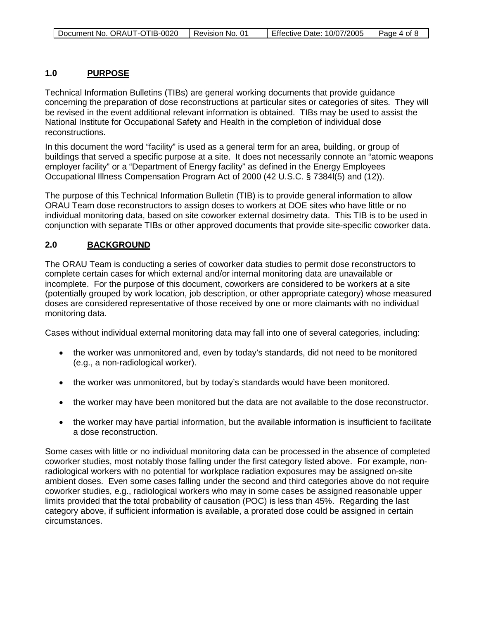#### **1.0 PURPOSE**

Technical Information Bulletins (TIBs) are general working documents that provide guidance concerning the preparation of dose reconstructions at particular sites or categories of sites. They will be revised in the event additional relevant information is obtained. TIBs may be used to assist the National Institute for Occupational Safety and Health in the completion of individual dose reconstructions.

In this document the word "facility" is used as a general term for an area, building, or group of buildings that served a specific purpose at a site. It does not necessarily connote an "atomic weapons employer facility" or a "Department of Energy facility" as defined in the Energy Employees Occupational Illness Compensation Program Act of 2000 (42 U.S.C. § 7384l(5) and (12)).

The purpose of this Technical Information Bulletin (TIB) is to provide general information to allow ORAU Team dose reconstructors to assign doses to workers at DOE sites who have little or no individual monitoring data, based on site coworker external dosimetry data. This TIB is to be used in conjunction with separate TIBs or other approved documents that provide site-specific coworker data.

#### **2.0 BACKGROUND**

The ORAU Team is conducting a series of coworker data studies to permit dose reconstructors to complete certain cases for which external and/or internal monitoring data are unavailable or incomplete. For the purpose of this document, coworkers are considered to be workers at a site (potentially grouped by work location, job description, or other appropriate category) whose measured doses are considered representative of those received by one or more claimants with no individual monitoring data.

Cases without individual external monitoring data may fall into one of several categories, including:

- the worker was unmonitored and, even by today's standards, did not need to be monitored (e.g., a non-radiological worker).
- the worker was unmonitored, but by today's standards would have been monitored.
- the worker may have been monitored but the data are not available to the dose reconstructor.
- the worker may have partial information, but the available information is insufficient to facilitate a dose reconstruction.

Some cases with little or no individual monitoring data can be processed in the absence of completed coworker studies, most notably those falling under the first category listed above. For example, nonradiological workers with no potential for workplace radiation exposures may be assigned on-site ambient doses. Even some cases falling under the second and third categories above do not require coworker studies, e.g., radiological workers who may in some cases be assigned reasonable upper limits provided that the total probability of causation (POC) is less than 45%. Regarding the last category above, if sufficient information is available, a prorated dose could be assigned in certain circumstances.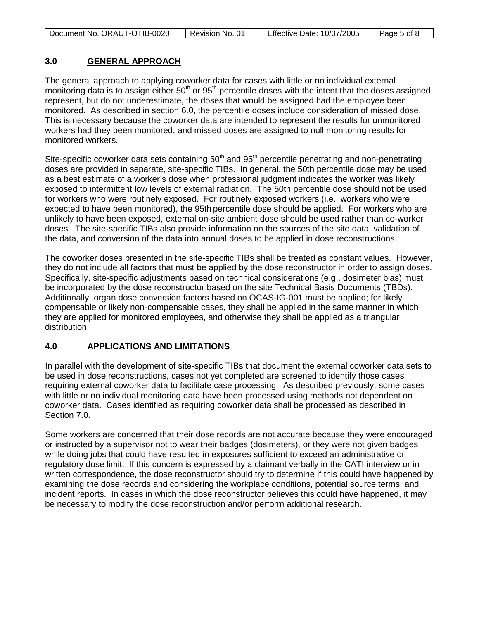| Document No. ORAUT-OTIB-0020 | Revision No. 01 | Effective Date: 10/07/2005 | Page 5 of 8 |
|------------------------------|-----------------|----------------------------|-------------|
|                              |                 |                            |             |

#### **3.0 GENERAL APPROACH**

The general approach to applying coworker data for cases with little or no individual external monitoring data is to assign either  $50<sup>th</sup>$  or  $95<sup>th</sup>$  percentile doses with the intent that the doses assigned represent, but do not underestimate, the doses that would be assigned had the employee been monitored. As described in section 6.0, the percentile doses include consideration of missed dose. This is necessary because the coworker data are intended to represent the results for unmonitored workers had they been monitored, and missed doses are assigned to null monitoring results for monitored workers.

Site-specific coworker data sets containing  $50<sup>th</sup>$  and  $95<sup>th</sup>$  percentile penetrating and non-penetrating doses are provided in separate, site-specific TIBs. In general, the 50th percentile dose may be used as a best estimate of a worker's dose when professional judgment indicates the worker was likely exposed to intermittent low levels of external radiation. The 50th percentile dose should not be used for workers who were routinely exposed. For routinely exposed workers (i.e., workers who were expected to have been monitored), the 95th percentile dose should be applied. For workers who are unlikely to have been exposed, external on-site ambient dose should be used rather than co-worker doses. The site-specific TIBs also provide information on the sources of the site data, validation of the data, and conversion of the data into annual doses to be applied in dose reconstructions.

The coworker doses presented in the site-specific TIBs shall be treated as constant values. However, they do not include all factors that must be applied by the dose reconstructor in order to assign doses. Specifically, site-specific adjustments based on technical considerations (e.g., dosimeter bias) must be incorporated by the dose reconstructor based on the site Technical Basis Documents (TBDs). Additionally, organ dose conversion factors based on OCAS-IG-001 must be applied; for likely compensable or likely non-compensable cases, they shall be applied in the same manner in which they are applied for monitored employees, and otherwise they shall be applied as a triangular distribution.

#### **4.0 APPLICATIONS AND LIMITATIONS**

In parallel with the development of site-specific TIBs that document the external coworker data sets to be used in dose reconstructions, cases not yet completed are screened to identify those cases requiring external coworker data to facilitate case processing. As described previously, some cases with little or no individual monitoring data have been processed using methods not dependent on coworker data. Cases identified as requiring coworker data shall be processed as described in Section 7.0.

Some workers are concerned that their dose records are not accurate because they were encouraged or instructed by a supervisor not to wear their badges (dosimeters), or they were not given badges while doing jobs that could have resulted in exposures sufficient to exceed an administrative or regulatory dose limit. If this concern is expressed by a claimant verbally in the CATI interview or in written correspondence, the dose reconstructor should try to determine if this could have happened by examining the dose records and considering the workplace conditions, potential source terms, and incident reports. In cases in which the dose reconstructor believes this could have happened, it may be necessary to modify the dose reconstruction and/or perform additional research.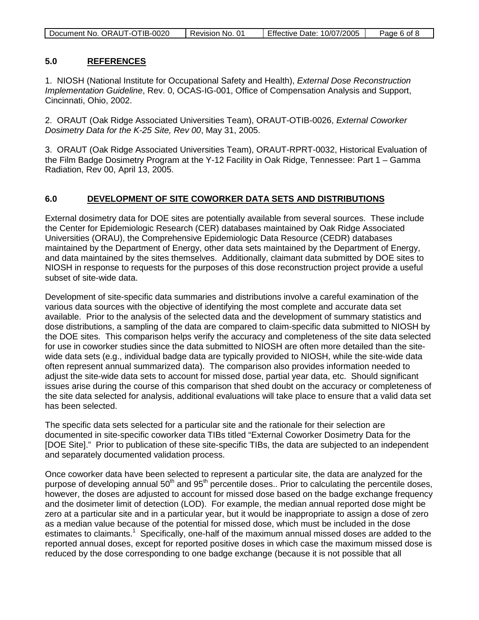| Document No. ORAUT-OTIB-0020 | Revision No. 01 | <b>Effective Date: 10/07/2005</b> | Page 6 of 8 |
|------------------------------|-----------------|-----------------------------------|-------------|
|                              |                 |                                   |             |

#### **5.0 REFERENCES**

1. NIOSH (National Institute for Occupational Safety and Health), *External Dose Reconstruction Implementation Guideline*, Rev. 0, OCAS-IG-001, Office of Compensation Analysis and Support, Cincinnati, Ohio, 2002.

2. ORAUT (Oak Ridge Associated Universities Team), ORAUT-OTIB-0026, *External Coworker Dosimetry Data for the K-25 Site, Rev 00*, May 31, 2005.

3. ORAUT (Oak Ridge Associated Universities Team), ORAUT-RPRT-0032, Historical Evaluation of the Film Badge Dosimetry Program at the Y-12 Facility in Oak Ridge, Tennessee: Part 1 – Gamma Radiation, Rev 00, April 13, 2005.

#### **6.0 DEVELOPMENT OF SITE COWORKER DATA SETS AND DISTRIBUTIONS**

External dosimetry data for DOE sites are potentially available from several sources. These include the Center for Epidemiologic Research (CER) databases maintained by Oak Ridge Associated Universities (ORAU), the Comprehensive Epidemiologic Data Resource (CEDR) databases maintained by the Department of Energy, other data sets maintained by the Department of Energy, and data maintained by the sites themselves. Additionally, claimant data submitted by DOE sites to NIOSH in response to requests for the purposes of this dose reconstruction project provide a useful subset of site-wide data.

Development of site-specific data summaries and distributions involve a careful examination of the various data sources with the objective of identifying the most complete and accurate data set available. Prior to the analysis of the selected data and the development of summary statistics and dose distributions, a sampling of the data are compared to claim-specific data submitted to NIOSH by the DOE sites. This comparison helps verify the accuracy and completeness of the site data selected for use in coworker studies since the data submitted to NIOSH are often more detailed than the sitewide data sets (e.g., individual badge data are typically provided to NIOSH, while the site-wide data often represent annual summarized data). The comparison also provides information needed to adjust the site-wide data sets to account for missed dose, partial year data, etc. Should significant issues arise during the course of this comparison that shed doubt on the accuracy or completeness of the site data selected for analysis, additional evaluations will take place to ensure that a valid data set has been selected.

The specific data sets selected for a particular site and the rationale for their selection are documented in site-specific coworker data TIBs titled "External Coworker Dosimetry Data for the [DOE Site]." Prior to publication of these site-specific TIBs, the data are subjected to an independent and separately documented validation process.

Once coworker data have been selected to represent a particular site, the data are analyzed for the purpose of developing annual 50<sup>th</sup> and 95<sup>th</sup> percentile doses.. Prior to calculating the percentile doses, however, the doses are adjusted to account for missed dose based on the badge exchange frequency and the dosimeter limit of detection (LOD). For example, the median annual reported dose might be zero at a particular site and in a particular year, but it would be inappropriate to assign a dose of zero as a median value because of the potential for missed dose, which must be included in the dose estimates to claimants.<sup>1</sup> Specifically, one-half of the maximum annual missed doses are added to the reported annual doses, except for reported positive doses in which case the maximum missed dose is reduced by the dose corresponding to one badge exchange (because it is not possible that all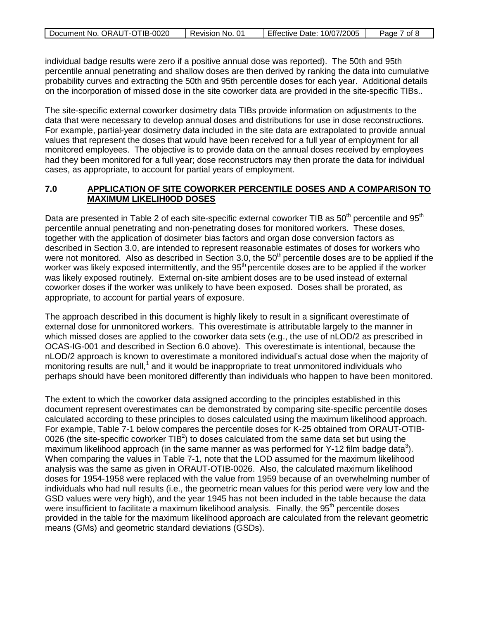| Document No. ORAUT-OTIB-0020 | Revision No. 01 | Effective Date: 10/07/2005 | Page 7 of 8 |
|------------------------------|-----------------|----------------------------|-------------|

individual badge results were zero if a positive annual dose was reported). The 50th and 95th percentile annual penetrating and shallow doses are then derived by ranking the data into cumulative probability curves and extracting the 50th and 95th percentile doses for each year. Additional details on the incorporation of missed dose in the site coworker data are provided in the site-specific TIBs..

The site-specific external coworker dosimetry data TIBs provide information on adjustments to the data that were necessary to develop annual doses and distributions for use in dose reconstructions. For example, partial-year dosimetry data included in the site data are extrapolated to provide annual values that represent the doses that would have been received for a full year of employment for all monitored employees. The objective is to provide data on the annual doses received by employees had they been monitored for a full year; dose reconstructors may then prorate the data for individual cases, as appropriate, to account for partial years of employment.

### **7.0 APPLICATION OF SITE COWORKER PERCENTILE DOSES AND A COMPARISON TO MAXIMUM LIKELIH0OD DOSES**

Data are presented in Table 2 of each site-specific external coworker TIB as  $50<sup>th</sup>$  percentile and  $95<sup>th</sup>$ percentile annual penetrating and non-penetrating doses for monitored workers. These doses, together with the application of dosimeter bias factors and organ dose conversion factors as described in Section 3.0, are intended to represent reasonable estimates of doses for workers who were not monitored. Also as described in Section 3.0, the  $50<sup>th</sup>$  percentile doses are to be applied if the worker was likely exposed intermittently, and the 95<sup>th</sup> percentile doses are to be applied if the worker was likely exposed routinely. External on-site ambient doses are to be used instead of external coworker doses if the worker was unlikely to have been exposed. Doses shall be prorated, as appropriate, to account for partial years of exposure.

The approach described in this document is highly likely to result in a significant overestimate of external dose for unmonitored workers. This overestimate is attributable largely to the manner in which missed doses are applied to the coworker data sets (e.g., the use of nLOD/2 as prescribed in OCAS-IG-001 and described in Section 6.0 above). This overestimate is intentional, because the nLOD/2 approach is known to overestimate a monitored individual's actual dose when the majority of monitoring results are null,<sup>1</sup> and it would be inappropriate to treat unmonitored individuals who perhaps should have been monitored differently than individuals who happen to have been monitored.

The extent to which the coworker data assigned according to the principles established in this document represent overestimates can be demonstrated by comparing site-specific percentile doses calculated according to these principles to doses calculated using the maximum likelihood approach. For example, Table 7-1 below compares the percentile doses for K-25 obtained from ORAUT-OTIB-0026 (the site-specific coworker TIB<sup>2</sup>) to doses calculated from the same data set but using the maximum likelihood approach (in the same manner as was performed for Y-12 film badge data<sup>3</sup>). When comparing the values in Table 7-1, note that the LOD assumed for the maximum likelihood analysis was the same as given in ORAUT-OTIB-0026. Also, the calculated maximum likelihood doses for 1954-1958 were replaced with the value from 1959 because of an overwhelming number of individuals who had null results (i.e., the geometric mean values for this period were very low and the GSD values were very high), and the year 1945 has not been included in the table because the data were insufficient to facilitate a maximum likelihood analysis. Finally, the  $95<sup>th</sup>$  percentile doses provided in the table for the maximum likelihood approach are calculated from the relevant geometric means (GMs) and geometric standard deviations (GSDs).